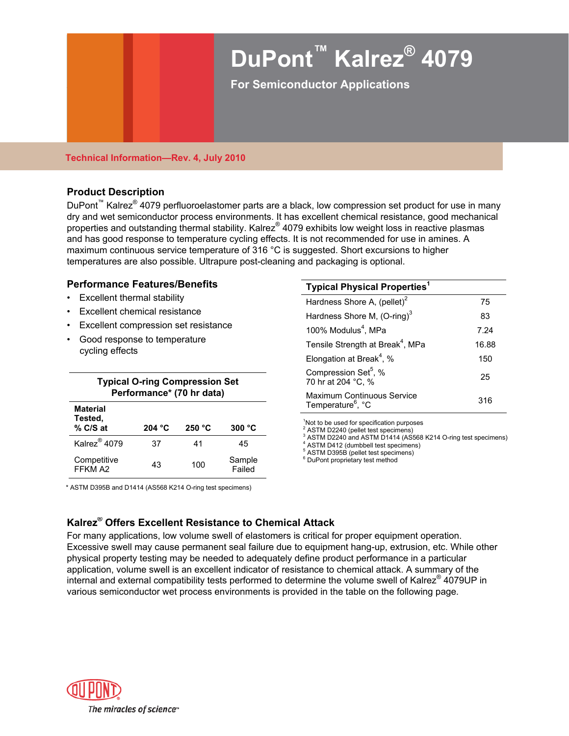

#### **Technical Information—Rev. 4, July 2010**

### **Product Description**

DuPont<sup>™</sup> Kalrez<sup>®</sup> 4079 perfluoroelastomer parts are a black, low compression set product for use in many dry and wet semiconductor process environments. It has excellent chemical resistance, good mechanical properties and outstanding thermal stability. Kalrez® 4079 exhibits low weight loss in reactive plasmas and has good response to temperature cycling effects. It is not recommended for use in amines. A maximum continuous service temperature of 316 °C is suggested. Short excursions to higher temperatures are also possible. Ultrapure post-cleaning and packaging is optional.

### **Performance Features/Benefits**

- Excellent thermal stability
- Excellent chemical resistance
- Excellent compression set resistance
- Good response to temperature cycling effects

|                                              | <b>Typical O-ring Compression Set</b> |        |                  | <b>UUIIIDI COOIUII UCL, 70</b><br>70 hr at 204 °C, %                                                                                                |  |
|----------------------------------------------|---------------------------------------|--------|------------------|-----------------------------------------------------------------------------------------------------------------------------------------------------|--|
| Performance* (70 hr data)<br><b>Material</b> |                                       |        |                  | Maximum Continuous Service<br>Temperature <sup>6</sup> , °C                                                                                         |  |
| Tested,<br>% C/S at                          | 204 °C                                | 250 °C | 300 °C           | <sup>1</sup> Not to be used for specification purpose<br><sup>2</sup> ASTM D2240 (pellet test specimens)                                            |  |
| Kalrez <sup>®</sup> 4079                     | 37                                    | 41     | 45               | <sup>3</sup> ASTM D2240 and ASTM D1414 (AS56<br><sup>4</sup> ASTM D412 (dumbbell test specimens)<br><sup>5</sup> ASTM D395B (pellet test specimens) |  |
| Competitive<br>FFKM A2                       | 43                                    | 100    | Sample<br>Failed | <sup>6</sup> DuPont proprietary test method                                                                                                         |  |

| mance Features/Benefits                 | <b>Typical Physical Properties<sup>1</sup></b>              |       |  |
|-----------------------------------------|-------------------------------------------------------------|-------|--|
| ellent thermal stability                | Hardness Shore A, (pellet) <sup>2</sup>                     | 75    |  |
| ellent chemical resistance              | Hardness Shore M, $(O\text{-ring})^3$                       | 83    |  |
| ellent compression set resistance       | 100% Modulus <sup>4</sup> , MPa                             | 7.24  |  |
| d response to temperature<br>ng effects | Tensile Strength at Break <sup>4</sup> , MPa                | 16.88 |  |
|                                         | Elongation at Break <sup>4</sup> , %                        | 150   |  |
| <b>Typical O-ring Compression Set</b>   | Compression Set <sup>5</sup> , %<br>70 hr at 204 °C, %      | 25    |  |
| Performance* (70 hr data)               | Maximum Continuous Service<br>Temperature <sup>6</sup> , °C | 316   |  |
| ial                                     |                                                             |       |  |

<sup>1</sup>Not to be used for specification purposes

<sup>2</sup> ASTM D2240 (pellet test specimens)<br><sup>3</sup> ASTM D2240 and ASTM D1414 (AS568 K214 O-ring test specimens)

\* ASTM D395B and D1414 (AS568 K214 O-ring test specimens)

# **Kalrez® Offers Excellent Resistance to Chemical Attack**

For many applications, low volume swell of elastomers is critical for proper equipment operation. Excessive swell may cause permanent seal failure due to equipment hang-up, extrusion, etc. While other physical property testing may be needed to adequately define product performance in a particular application, volume swell is an excellent indicator of resistance to chemical attack. A summary of the internal and external compatibility tests performed to determine the volume swell of Kalrez® 4079UP in various semiconductor wet process environments is provided in the table on the following page.